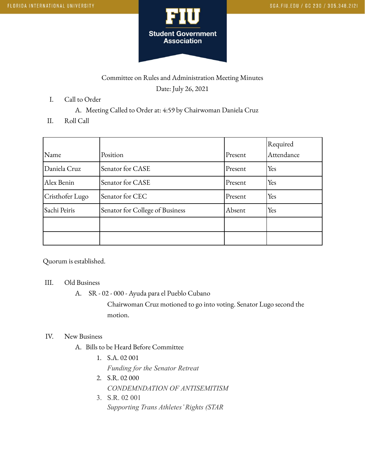

# Committee on Rules and Administration Meeting Minutes Date: July 26, 2021

- I. Call to Order
	- A. Meeting Called to Order at: 4:59 by Chairwoman Daniela Cruz
- II. Roll Call

| Name            | Position                        | Present | Required<br>Attendance |
|-----------------|---------------------------------|---------|------------------------|
| Daniela Cruz    | Senator for CASE                | Present | Yes                    |
| Alex Benin      | Senator for CASE                | Present | Yes                    |
| Cristhofer Lugo | Senator for CEC                 | Present | Yes                    |
| Sachi Peiris    | Senator for College of Business | Absent  | Yes                    |
|                 |                                 |         |                        |
|                 |                                 |         |                        |

Quorum is established.

#### III. Old Business

A. SR - 02 - 000 - Ayuda para el Pueblo Cubano

Chairwoman Cruz motioned to go into voting. Senator Lugo second the motion.

#### IV. New Business

- A. Bills to be Heard Before Committee
	- 1. S.A. 02 001 *Funding for the Senator Retreat*
	- 2. S.R. 02 000 *CONDEMNDATION OF ANTISEMITISM*
	- 3. S.R. 02 001 *Supporting Trans Athletes' Rights (STAR*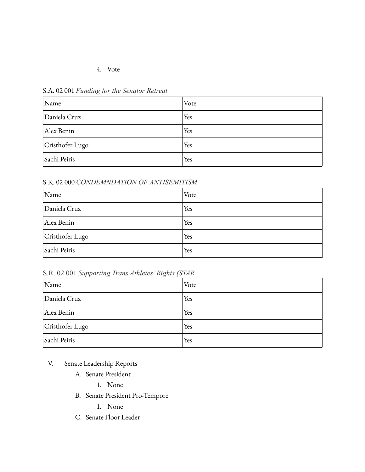### 4. Vote

| Name            | Vote |
|-----------------|------|
| Daniela Cruz    | Yes  |
| Alex Benin      | Yes  |
| Cristhofer Lugo | Yes  |
| Sachi Peiris    | Yes  |

S.A. 02 001 *Funding for the Senator Retreat*

#### S.R. 02 000 *CONDEMNDATION OF ANTISEMITISM*

| Name            | Vote |
|-----------------|------|
| Daniela Cruz    | Yes  |
| Alex Benin      | Yes  |
| Cristhofer Lugo | Yes  |
| Sachi Peiris    | Yes  |

S.R. 02 001 *Supporting Trans Athletes' Rights (STAR*

| Name            | Vote |
|-----------------|------|
| Daniela Cruz    | Yes  |
| Alex Benin      | Yes  |
| Cristhofer Lugo | Yes  |
| Sachi Peiris    | Yes  |

V. Senate Leadership Reports

- A. Senate President
	- 1. None
- B. Senate President Pro-Tempore
	- 1. None
- C. Senate Floor Leader